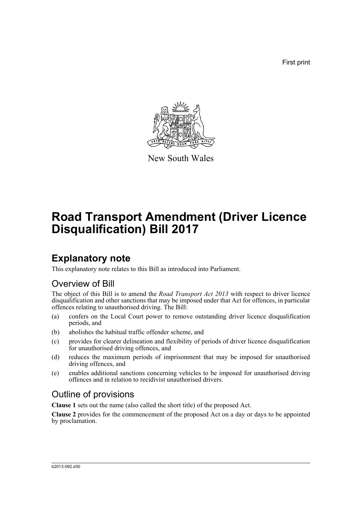First print



New South Wales

# **Road Transport Amendment (Driver Licence Disqualification) Bill 2017**

# **Explanatory note**

This explanatory note relates to this Bill as introduced into Parliament.

# Overview of Bill

The object of this Bill is to amend the *Road Transport Act 2013* with respect to driver licence disqualification and other sanctions that may be imposed under that Act for offences, in particular offences relating to unauthorised driving. The Bill:

- (a) confers on the Local Court power to remove outstanding driver licence disqualification periods, and
- (b) abolishes the habitual traffic offender scheme, and
- (c) provides for clearer delineation and flexibility of periods of driver licence disqualification for unauthorised driving offences, and
- (d) reduces the maximum periods of imprisonment that may be imposed for unauthorised driving offences, and
- (e) enables additional sanctions concerning vehicles to be imposed for unauthorised driving offences and in relation to recidivist unauthorised drivers.

# Outline of provisions

**Clause 1** sets out the name (also called the short title) of the proposed Act.

**Clause 2** provides for the commencement of the proposed Act on a day or days to be appointed by proclamation.

#### b2013-092.d30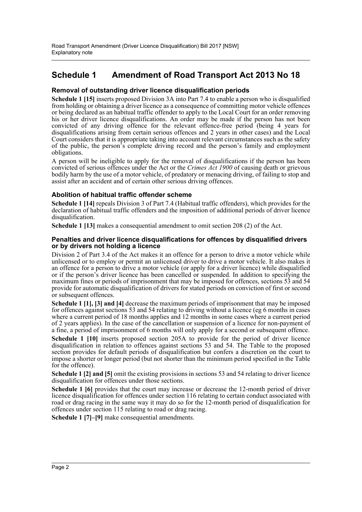# **Schedule 1 Amendment of Road Transport Act 2013 No 18**

## **Removal of outstanding driver licence disqualification periods**

**Schedule 1 [15]** inserts proposed Division 3A into Part 7.4 to enable a person who is disqualified from holding or obtaining a driver licence as a consequence of committing motor vehicle offences or being declared as an habitual traffic offender to apply to the Local Court for an order removing his or her driver licence disqualifications. An order may be made if the person has not been convicted of any driving offence for the relevant offence-free period (being 4 years for disqualifications arising from certain serious offences and 2 years in other cases) and the Local Court considers that it is appropriate taking into account relevant circumstances such as the safety of the public, the person's complete driving record and the person's family and employment obligations.

A person will be ineligible to apply for the removal of disqualifications if the person has been convicted of serious offences under the Act or the *Crimes Act 1900* of causing death or grievous bodily harm by the use of a motor vehicle, of predatory or menacing driving, of failing to stop and assist after an accident and of certain other serious driving offences.

## **Abolition of habitual traffic offender scheme**

**Schedule 1 [14]** repeals Division 3 of Part 7.4 (Habitual traffic offenders), which provides for the declaration of habitual traffic offenders and the imposition of additional periods of driver licence disqualification.

**Schedule 1 [13]** makes a consequential amendment to omit section 208 (2) of the Act.

### **Penalties and driver licence disqualifications for offences by disqualified drivers or by drivers not holding a licence**

Division 2 of Part 3.4 of the Act makes it an offence for a person to drive a motor vehicle while unlicensed or to employ or permit an unlicensed driver to drive a motor vehicle. It also makes it an offence for a person to drive a motor vehicle (or apply for a driver licence) while disqualified or if the person's driver licence has been cancelled or suspended. In addition to specifying the maximum fines or periods of imprisonment that may be imposed for offences, sections 53 and 54 provide for automatic disqualification of drivers for stated periods on conviction of first or second or subsequent offences.

**Schedule 1 [1], [3] and [4]** decrease the maximum periods of imprisonment that may be imposed for offences against sections 53 and 54 relating to driving without a licence (eg 6 months in cases where a current period of 18 months applies and 12 months in some cases where a current period of 2 years applies). In the case of the cancellation or suspension of a licence for non-payment of a fine, a period of imprisonment of 6 months will only apply for a second or subsequent offence.

**Schedule 1 [10]** inserts proposed section 205A to provide for the period of driver licence disqualification in relation to offences against sections 53 and 54. The Table to the proposed section provides for default periods of disqualification but confers a discretion on the court to impose a shorter or longer period (but not shorter than the minimum period specified in the Table for the offence).

**Schedule 1 [2] and [5]** omit the existing provisions in sections 53 and 54 relating to driver licence disqualification for offences under those sections.

**Schedule 1 [6]** provides that the court may increase or decrease the 12-month period of driver licence disqualification for offences under section 116 relating to certain conduct associated with road or drag racing in the same way it may do so for the 12-month period of disqualification for offences under section 115 relating to road or drag racing.

**Schedule 1 [7]–[9]** make consequential amendments.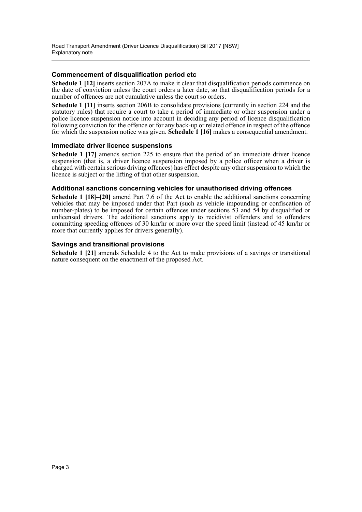## **Commencement of disqualification period etc**

**Schedule 1 [12]** inserts section 207A to make it clear that disqualification periods commence on the date of conviction unless the court orders a later date, so that disqualification periods for a number of offences are not cumulative unless the court so orders.

**Schedule 1 [11]** inserts section 206B to consolidate provisions (currently in section 224 and the statutory rules) that require a court to take a period of immediate or other suspension under a police licence suspension notice into account in deciding any period of licence disqualification following conviction for the offence or for any back-up or related offence in respect of the offence for which the suspension notice was given. **Schedule 1 [16]** makes a consequential amendment.

### **Immediate driver licence suspensions**

**Schedule 1 [17]** amends section 225 to ensure that the period of an immediate driver licence suspension (that is, a driver licence suspension imposed by a police officer when a driver is charged with certain serious driving offences) has effect despite any other suspension to which the licence is subject or the lifting of that other suspension.

## **Additional sanctions concerning vehicles for unauthorised driving offences**

**Schedule 1 [18]–[20]** amend Part 7.6 of the Act to enable the additional sanctions concerning vehicles that may be imposed under that Part (such as vehicle impounding or confiscation of number-plates) to be imposed for certain offences under sections  $\overline{53}$  and  $\overline{54}$  by disqualified or unlicensed drivers. The additional sanctions apply to recidivist offenders and to offenders committing speeding offences of 30 km/hr or more over the speed limit (instead of 45 km/hr or more that currently applies for drivers generally).

## **Savings and transitional provisions**

**Schedule 1 [21]** amends Schedule 4 to the Act to make provisions of a savings or transitional nature consequent on the enactment of the proposed Act.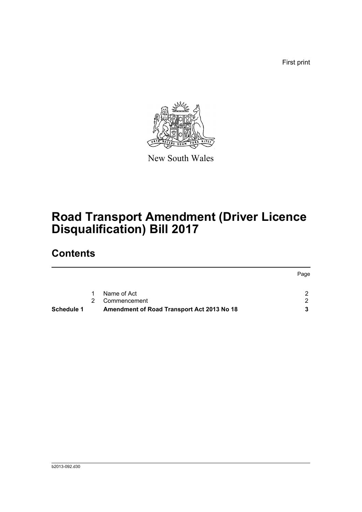First print



New South Wales

# **Road Transport Amendment (Driver Licence Disqualification) Bill 2017**

# **Contents**

|            | 1 | Name of Act                                | $\mathcal{D}$ |
|------------|---|--------------------------------------------|---------------|
|            | 2 | Commencement                               | - 2           |
| Schedule 1 |   | Amendment of Road Transport Act 2013 No 18 |               |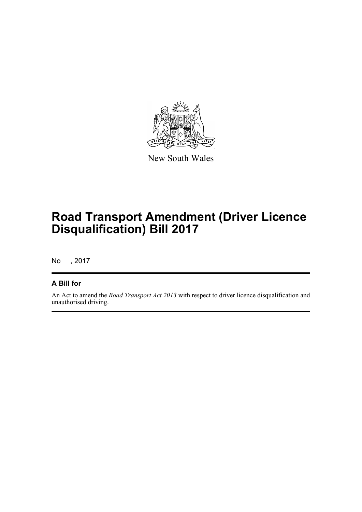

New South Wales

# **Road Transport Amendment (Driver Licence Disqualification) Bill 2017**

No , 2017

# **A Bill for**

An Act to amend the *Road Transport Act 2013* with respect to driver licence disqualification and unauthorised driving.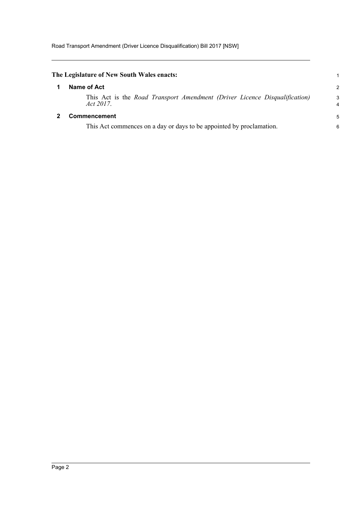<span id="page-5-1"></span><span id="page-5-0"></span>

| The Legislature of New South Wales enacts:                                              |                     |
|-----------------------------------------------------------------------------------------|---------------------|
| Name of Act                                                                             | 2                   |
| This Act is the Road Transport Amendment (Driver Licence Disqualification)<br>Act 2017. | 3<br>$\overline{4}$ |
| <b>Commencement</b>                                                                     | 5                   |
| This Act commences on a day or days to be appointed by proclamation.                    | 6                   |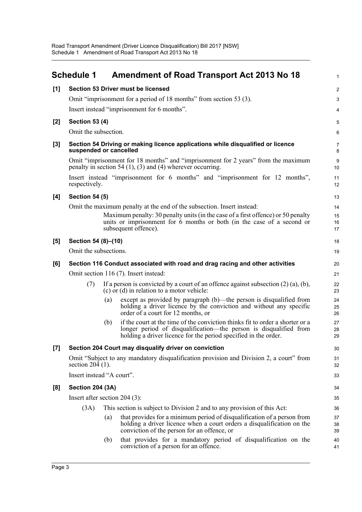<span id="page-6-0"></span>

|                    | <b>Schedule 1</b>                                     |     | <b>Amendment of Road Transport Act 2013 No 18</b>                                                                                                                                                                     | $\mathbf{1}$        |  |  |
|--------------------|-------------------------------------------------------|-----|-----------------------------------------------------------------------------------------------------------------------------------------------------------------------------------------------------------------------|---------------------|--|--|
| [1]                |                                                       |     | Section 53 Driver must be licensed                                                                                                                                                                                    | $\overline{2}$      |  |  |
|                    |                                                       |     | Omit "imprisonment for a period of 18 months" from section 53 (3).                                                                                                                                                    | 3                   |  |  |
|                    |                                                       |     | Insert instead "imprisonment for 6 months".                                                                                                                                                                           | 4                   |  |  |
| $[2]$              | <b>Section 53 (4)</b>                                 |     |                                                                                                                                                                                                                       | 5                   |  |  |
|                    | Omit the subsection.                                  |     |                                                                                                                                                                                                                       | 6                   |  |  |
| $[3]$              | suspended or cancelled                                |     | Section 54 Driving or making licence applications while disqualified or licence                                                                                                                                       | $\overline{7}$<br>8 |  |  |
|                    |                                                       |     | Omit "imprisonment for 18 months" and "imprisonment for 2 years" from the maximum<br>penalty in section 54 $(1)$ , $(3)$ and $(4)$ wherever occurring.                                                                | 9<br>10             |  |  |
|                    | respectively.                                         |     | Insert instead "imprisonment for 6 months" and "imprisonment for 12 months",                                                                                                                                          | 11<br>12            |  |  |
| [4]                | <b>Section 54 (5)</b>                                 |     |                                                                                                                                                                                                                       | 13                  |  |  |
|                    |                                                       |     | Omit the maximum penalty at the end of the subsection. Insert instead:                                                                                                                                                | 14                  |  |  |
|                    |                                                       |     | Maximum penalty: 30 penalty units (in the case of a first offence) or 50 penalty<br>units or imprisonment for 6 months or both (in the case of a second or<br>subsequent offence).                                    | 15<br>16<br>17      |  |  |
| [5]                | Section 54 (8)-(10)                                   |     |                                                                                                                                                                                                                       | 18                  |  |  |
|                    | Omit the subsections.                                 |     |                                                                                                                                                                                                                       | 19                  |  |  |
| [6]                |                                                       |     | Section 116 Conduct associated with road and drag racing and other activities                                                                                                                                         | 20                  |  |  |
|                    |                                                       |     | Omit section 116 (7). Insert instead:                                                                                                                                                                                 | 21                  |  |  |
|                    | (7)                                                   |     | If a person is convicted by a court of an offence against subsection $(2)$ $(a)$ , $(b)$ ,<br>$(c)$ or $(d)$ in relation to a motor vehicle:                                                                          | 22<br>23            |  |  |
|                    |                                                       | (a) | except as provided by paragraph (b)—the person is disqualified from<br>holding a driver licence by the conviction and without any specific<br>order of a court for 12 months, or                                      | 24<br>25<br>26      |  |  |
|                    |                                                       | (b) | if the court at the time of the conviction thinks fit to order a shorter or a<br>longer period of disqualification—the person is disqualified from<br>holding a driver licence for the period specified in the order. | 27<br>28<br>29      |  |  |
| $\left[ 7 \right]$ | Section 204 Court may disqualify driver on conviction |     |                                                                                                                                                                                                                       |                     |  |  |
|                    | section $204$ (1).                                    |     | Omit "Subject to any mandatory disqualification provision and Division 2, a court" from                                                                                                                               | 31<br>32            |  |  |
|                    | Insert instead "A court".                             |     |                                                                                                                                                                                                                       | 33                  |  |  |
| [8]                | <b>Section 204 (3A)</b>                               |     |                                                                                                                                                                                                                       |                     |  |  |
|                    | Insert after section $204$ (3):                       |     |                                                                                                                                                                                                                       |                     |  |  |
|                    | (3A)                                                  |     | This section is subject to Division 2 and to any provision of this Act:                                                                                                                                               | 36                  |  |  |
|                    |                                                       | (a) | that provides for a minimum period of disqualification of a person from<br>holding a driver licence when a court orders a disqualification on the<br>conviction of the person for an offence, or                      | 37<br>38<br>39      |  |  |
|                    |                                                       | (b) | that provides for a mandatory period of disqualification on the<br>conviction of a person for an offence.                                                                                                             | 40<br>41            |  |  |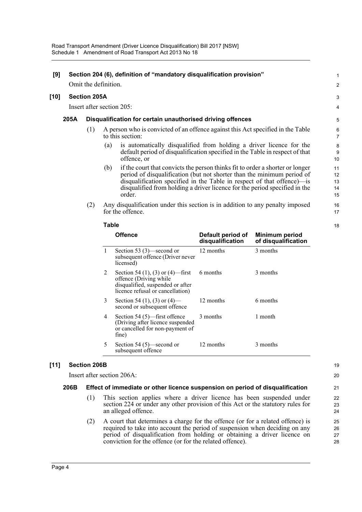| [9]  | Section 204 (6), definition of "mandatory disqualification provision" |                                                            |                           |                                                                                                                                                                                                                                                                                                                           |                            |  |
|------|-----------------------------------------------------------------------|------------------------------------------------------------|---------------------------|---------------------------------------------------------------------------------------------------------------------------------------------------------------------------------------------------------------------------------------------------------------------------------------------------------------------------|----------------------------|--|
|      |                                                                       | Omit the definition.                                       |                           |                                                                                                                                                                                                                                                                                                                           |                            |  |
| [10] | <b>Section 205A</b>                                                   |                                                            |                           |                                                                                                                                                                                                                                                                                                                           | 3                          |  |
|      |                                                                       |                                                            | Insert after section 205: |                                                                                                                                                                                                                                                                                                                           | $\overline{4}$             |  |
|      | 205A                                                                  | Disqualification for certain unauthorised driving offences |                           |                                                                                                                                                                                                                                                                                                                           |                            |  |
|      |                                                                       | (1)                                                        |                           | A person who is convicted of an offence against this Act specified in the Table<br>to this section:                                                                                                                                                                                                                       | 6<br>$\overline{7}$        |  |
|      |                                                                       |                                                            | (a)                       | is automatically disqualified from holding a driver licence for the<br>default period of disqualification specified in the Table in respect of that<br>offence, or                                                                                                                                                        | 8<br>9<br>10               |  |
|      |                                                                       |                                                            | (b)                       | if the court that convicts the person thinks fit to order a shorter or longer<br>period of disqualification (but not shorter than the minimum period of<br>disqualification specified in the Table in respect of that offence) is<br>disqualified from holding a driver licence for the period specified in the<br>order. | 11<br>12<br>13<br>14<br>15 |  |
|      |                                                                       | (2)                                                        |                           | Any disqualification under this section is in addition to any penalty imposed<br>for the offence.                                                                                                                                                                                                                         | 16<br>17                   |  |
|      |                                                                       |                                                            | Table                     |                                                                                                                                                                                                                                                                                                                           | 18                         |  |

|   | <b>Offence</b>                                                                                                                     | Default period of<br>disqualification | Minimum period<br>of disqualification |
|---|------------------------------------------------------------------------------------------------------------------------------------|---------------------------------------|---------------------------------------|
| 1 | Section 53 $(3)$ —second or<br>subsequent offence (Driver never<br>licensed)                                                       | 12 months                             | 3 months                              |
| 2 | Section 54 (1), (3) or (4)—first<br>offence (Driving while<br>disqualified, suspended or after<br>licence refusal or cancellation) | 6 months                              | 3 months                              |
| 3 | Section 54 (1), (3) or (4)—<br>second or subsequent offence                                                                        | 12 months                             | 6 months                              |
| 4 | Section 54 $(5)$ —first offence<br>(Driving after licence suspended<br>or cancelled for non-payment of<br>fine)                    | 3 months                              | 1 month                               |
| 5 | Section 54 $(5)$ —second or<br>subsequent offence                                                                                  | 12 months                             | 3 months                              |

## **[11] Section 206B**

Insert after section 206A:

### **206B Effect of immediate or other licence suspension on period of disqualification**

- (1) This section applies where a driver licence has been suspended under section 224 or under any other provision of this Act or the statutory rules for an alleged offence.
- (2) A court that determines a charge for the offence (or for a related offence) is required to take into account the period of suspension when deciding on any period of disqualification from holding or obtaining a driver licence on conviction for the offence (or for the related offence).

19

18

20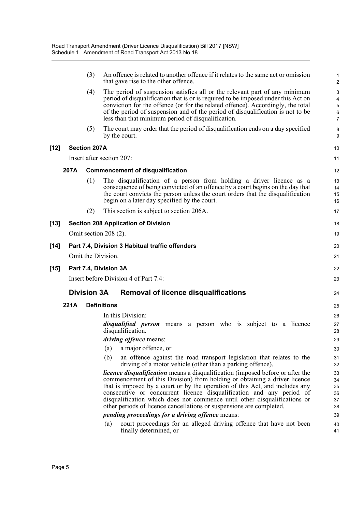|      |      | (3)                 | An offence is related to another offence if it relates to the same act or omission<br>that gave rise to the other offence.                                                                                                                                                                                                                                                                                                                                                      | $\mathbf{1}$<br>$\overline{2}$                  |
|------|------|---------------------|---------------------------------------------------------------------------------------------------------------------------------------------------------------------------------------------------------------------------------------------------------------------------------------------------------------------------------------------------------------------------------------------------------------------------------------------------------------------------------|-------------------------------------------------|
|      |      | (4)                 | The period of suspension satisfies all or the relevant part of any minimum<br>period of disqualification that is or is required to be imposed under this Act on<br>conviction for the offence (or for the related offence). Accordingly, the total<br>of the period of suspension and of the period of disqualification is not to be<br>less than that minimum period of disqualification.                                                                                      | 3<br>$\overline{4}$<br>5<br>6<br>$\overline{7}$ |
|      |      | (5)                 | The court may order that the period of disqualification ends on a day specified<br>by the court.                                                                                                                                                                                                                                                                                                                                                                                | 8<br>9                                          |
| [12] |      | <b>Section 207A</b> |                                                                                                                                                                                                                                                                                                                                                                                                                                                                                 | 10                                              |
|      |      |                     | Insert after section 207:                                                                                                                                                                                                                                                                                                                                                                                                                                                       | 11                                              |
|      | 207A |                     | <b>Commencement of disqualification</b>                                                                                                                                                                                                                                                                                                                                                                                                                                         | 12                                              |
|      |      | (1)                 | The disqualification of a person from holding a driver licence as a<br>consequence of being convicted of an offence by a court begins on the day that<br>the court convicts the person unless the court orders that the disqualification<br>begin on a later day specified by the court.                                                                                                                                                                                        | 13<br>14<br>15<br>16                            |
|      |      | (2)                 | This section is subject to section 206A.                                                                                                                                                                                                                                                                                                                                                                                                                                        | 17                                              |
| [13] |      |                     | <b>Section 208 Application of Division</b>                                                                                                                                                                                                                                                                                                                                                                                                                                      | 18                                              |
|      |      |                     | Omit section 208 (2).                                                                                                                                                                                                                                                                                                                                                                                                                                                           | 19                                              |
| [14] |      |                     | Part 7.4, Division 3 Habitual traffic offenders                                                                                                                                                                                                                                                                                                                                                                                                                                 | 20                                              |
|      |      |                     | Omit the Division.                                                                                                                                                                                                                                                                                                                                                                                                                                                              | 21                                              |
| [15] |      |                     | Part 7.4, Division 3A                                                                                                                                                                                                                                                                                                                                                                                                                                                           | 22                                              |
|      |      |                     | Insert before Division 4 of Part 7.4:                                                                                                                                                                                                                                                                                                                                                                                                                                           | 23                                              |
|      |      | <b>Division 3A</b>  | <b>Removal of licence disqualifications</b>                                                                                                                                                                                                                                                                                                                                                                                                                                     | 24                                              |
|      | 221A |                     | <b>Definitions</b>                                                                                                                                                                                                                                                                                                                                                                                                                                                              | 25                                              |
|      |      |                     | In this Division:                                                                                                                                                                                                                                                                                                                                                                                                                                                               | 26                                              |
|      |      |                     | <i>disqualified person</i> means a person who is subject to a licence<br>disqualification.                                                                                                                                                                                                                                                                                                                                                                                      | 27<br>28                                        |
|      |      |                     | <i>driving offence</i> means:                                                                                                                                                                                                                                                                                                                                                                                                                                                   | 29                                              |
|      |      |                     | a major offence, or<br>(a)                                                                                                                                                                                                                                                                                                                                                                                                                                                      | 30                                              |
|      |      |                     | (b)<br>an offence against the road transport legislation that relates to the<br>driving of a motor vehicle (other than a parking offence).                                                                                                                                                                                                                                                                                                                                      | 31<br>32                                        |
|      |      |                     | <i>licence disqualification</i> means a disqualification (imposed before or after the<br>commencement of this Division) from holding or obtaining a driver licence<br>that is imposed by a court or by the operation of this Act, and includes any<br>consecutive or concurrent licence disqualification and any period of<br>disqualification which does not commence until other disqualifications or<br>other periods of licence cancellations or suspensions are completed. | 33<br>34<br>35<br>36<br>37<br>38                |
|      |      |                     | <i>pending proceedings for a driving offence means:</i>                                                                                                                                                                                                                                                                                                                                                                                                                         | 39                                              |
|      |      |                     | court proceedings for an alleged driving offence that have not been<br>(a)<br>finally determined, or                                                                                                                                                                                                                                                                                                                                                                            | 40<br>41                                        |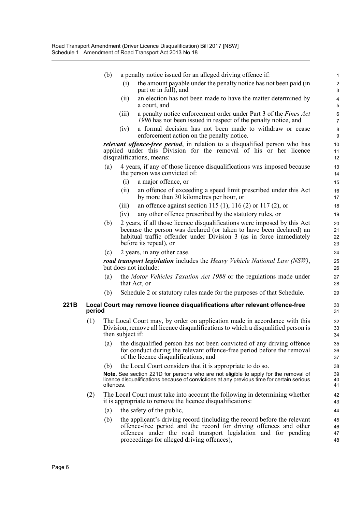|      |        | (b)       |                  | a penalty notice issued for an alleged driving offence if:                                                                                                                                                                                                   | $\mathbf{1}$               |
|------|--------|-----------|------------------|--------------------------------------------------------------------------------------------------------------------------------------------------------------------------------------------------------------------------------------------------------------|----------------------------|
|      |        |           | (i)              | the amount payable under the penalty notice has not been paid (in<br>part or in full), and                                                                                                                                                                   | $\sqrt{2}$<br>$\mathbf{3}$ |
|      |        |           | (ii)             | an election has not been made to have the matter determined by<br>a court, and                                                                                                                                                                               | $\pmb{4}$<br>5             |
|      |        |           | (iii)            | a penalty notice enforcement order under Part 3 of the Fines Act<br>1996 has not been issued in respect of the penalty notice, and                                                                                                                           | 6<br>$\overline{7}$        |
|      |        |           | (iv)             | a formal decision has not been made to withdraw or cease<br>enforcement action on the penalty notice.                                                                                                                                                        | $\bf 8$<br>9               |
|      |        |           |                  | <i>relevant offence-free period</i> , in relation to a disqualified person who has<br>applied under this Division for the removal of his or her licence<br>disqualifications, means:                                                                         | 10<br>11<br>12             |
|      |        | (a)       |                  | 4 years, if any of those licence disqualifications was imposed because<br>the person was convicted of:                                                                                                                                                       | 13<br>14                   |
|      |        |           | (i)              | a major offence, or                                                                                                                                                                                                                                          | 15                         |
|      |        |           | (ii)             | an offence of exceeding a speed limit prescribed under this Act<br>by more than 30 kilometres per hour, or                                                                                                                                                   | 16<br>17                   |
|      |        |           | (iii)            | an offence against section 115 (1), 116 (2) or 117 (2), or                                                                                                                                                                                                   | 18                         |
|      |        |           | (iv)             | any other offence prescribed by the statutory rules, or                                                                                                                                                                                                      | 19                         |
|      |        | (b)       |                  | 2 years, if all those licence disqualifications were imposed by this Act<br>because the person was declared (or taken to have been declared) an<br>habitual traffic offender under Division 3 (as in force immediately<br>before its repeal), or             | 20<br>21<br>22<br>23       |
|      |        | (c)       |                  | 2 years, in any other case.                                                                                                                                                                                                                                  | 24                         |
|      |        |           |                  | <b>road transport legislation</b> includes the Heavy Vehicle National Law (NSW),<br>but does not include:                                                                                                                                                    | 25<br>26                   |
|      |        | (a)       |                  | the Motor Vehicles Taxation Act 1988 or the regulations made under<br>that Act, or                                                                                                                                                                           | 27<br>28                   |
|      |        | (b)       |                  | Schedule 2 or statutory rules made for the purposes of that Schedule.                                                                                                                                                                                        | 29                         |
| 221B | period |           |                  | Local Court may remove licence disqualifications after relevant offence-free                                                                                                                                                                                 | 30<br>31                   |
|      | (1)    |           | then subject if: | The Local Court may, by order on application made in accordance with this<br>Division, remove all licence disqualifications to which a disqualified person is                                                                                                | 32<br>33<br>34             |
|      |        | (a)       |                  | the disqualified person has not been convicted of any driving offence<br>for conduct during the relevant offence-free period before the removal<br>of the licence disqualifications, and                                                                     | 35<br>36<br>37             |
|      |        | (b)       |                  | the Local Court considers that it is appropriate to do so.                                                                                                                                                                                                   | 38                         |
|      |        | offences. |                  | Note. See section 221D for persons who are not eligible to apply for the removal of<br>licence disqualifications because of convictions at any previous time for certain serious                                                                             | 39<br>40<br>41             |
|      | (2)    |           |                  | The Local Court must take into account the following in determining whether<br>it is appropriate to remove the licence disqualifications:                                                                                                                    | 42<br>43                   |
|      |        | (a)       |                  | the safety of the public,                                                                                                                                                                                                                                    | 44                         |
|      |        | (b)       |                  | the applicant's driving record (including the record before the relevant<br>offence-free period and the record for driving offences and other<br>offences under the road transport legislation and for pending<br>proceedings for alleged driving offences), | 45<br>46<br>47<br>48       |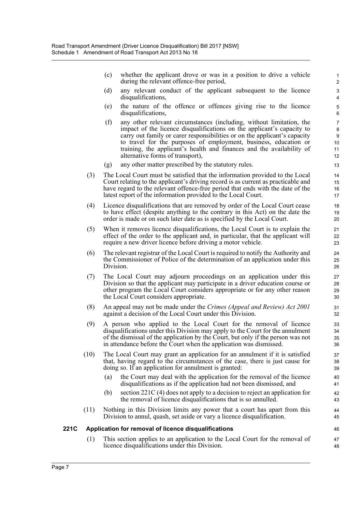(c) whether the applicant drove or was in a position to drive a vehicle during the relevant offence-free period,

46 47 48

- (d) any relevant conduct of the applicant subsequent to the licence disqualifications,
- (e) the nature of the offence or offences giving rise to the licence disqualifications,
- (f) any other relevant circumstances (including, without limitation, the impact of the licence disqualifications on the applicant's capacity to carry out family or carer responsibilities or on the applicant's capacity to travel for the purposes of employment, business, education or training, the applicant's health and finances and the availability of alternative forms of transport),
- (g) any other matter prescribed by the statutory rules.
- (3) The Local Court must be satisfied that the information provided to the Local Court relating to the applicant's driving record is as current as practicable and have regard to the relevant offence-free period that ends with the date of the latest report of the information provided to the Local Court.
- (4) Licence disqualifications that are removed by order of the Local Court cease to have effect (despite anything to the contrary in this Act) on the date the order is made or on such later date as is specified by the Local Court.
- (5) When it removes licence disqualifications, the Local Court is to explain the effect of the order to the applicant and, in particular, that the applicant will require a new driver licence before driving a motor vehicle.
- (6) The relevant registrar of the Local Court is required to notify the Authority and the Commissioner of Police of the determination of an application under this Division.
- (7) The Local Court may adjourn proceedings on an application under this Division so that the applicant may participate in a driver education course or other program the Local Court considers appropriate or for any other reason the Local Court considers appropriate.
- (8) An appeal may not be made under the *Crimes (Appeal and Review) Act 2001* against a decision of the Local Court under this Division.
- (9) A person who applied to the Local Court for the removal of licence disqualifications under this Division may apply to the Court for the annulment of the dismissal of the application by the Court, but only if the person was not in attendance before the Court when the application was dismissed.
- (10) The Local Court may grant an application for an annulment if it is satisfied that, having regard to the circumstances of the case, there is just cause for doing so. If an application for annulment is granted:
	- (a) the Court may deal with the application for the removal of the licence disqualifications as if the application had not been dismissed, and
	- (b) section 221C (4) does not apply to a decision to reject an application for the removal of licence disqualifications that is so annulled.
- (11) Nothing in this Division limits any power that a court has apart from this Division to annul, quash, set aside or vary a licence disqualification.

### **221C Application for removal of licence disqualifications**

(1) This section applies to an application to the Local Court for the removal of licence disqualifications under this Division.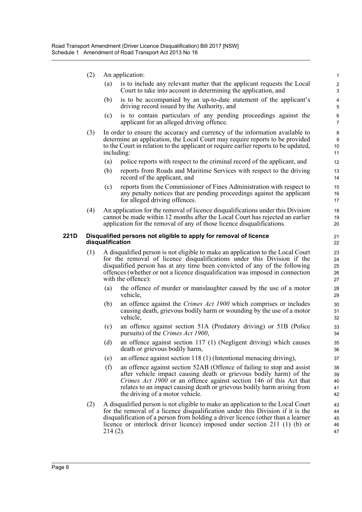- (2) An application:
	- (a) is to include any relevant matter that the applicant requests the Local Court to take into account in determining the application, and

- (b) is to be accompanied by an up-to-date statement of the applicant's driving record issued by the Authority, and
- (c) is to contain particulars of any pending proceedings against the applicant for an alleged driving offence.
- (3) In order to ensure the accuracy and currency of the information available to determine an application, the Local Court may require reports to be provided to the Court in relation to the applicant or require earlier reports to be updated, including:
	- (a) police reports with respect to the criminal record of the applicant, and
	- (b) reports from Roads and Maritime Services with respect to the driving record of the applicant, and
	- (c) reports from the Commissioner of Fines Administration with respect to any penalty notices that are pending proceedings against the applicant for alleged driving offences.
- (4) An application for the removal of licence disqualifications under this Division cannot be made within 12 months after the Local Court has rejected an earlier application for the removal of any of those licence disqualifications.

#### **221D Disqualified persons not eligible to apply for removal of licence disqualification**

- (1) A disqualified person is not eligible to make an application to the Local Court for the removal of licence disqualifications under this Division if the disqualified person has at any time been convicted of any of the following offences (whether or not a licence disqualification was imposed in connection with the offence):
	- (a) the offence of murder or manslaughter caused by the use of a motor vehicle,
	- (b) an offence against the *Crimes Act 1900* which comprises or includes causing death, grievous bodily harm or wounding by the use of a motor vehicle,
	- (c) an offence against section 51A (Predatory driving) or 51B (Police pursuits) of the *Crimes Act 1900*,
	- (d) an offence against section 117 (1) (Negligent driving) which causes death or grievous bodily harm,
	- (e) an offence against section 118 (1) (Intentional menacing driving),
	- (f) an offence against section 52AB (Offence of failing to stop and assist after vehicle impact causing death or grievous bodily harm) of the *Crimes Act 1900* or an offence against section 146 of this Act that relates to an impact causing death or grievous bodily harm arising from the driving of a motor vehicle.
- (2) A disqualified person is not eligible to make an application to the Local Court for the removal of a licence disqualification under this Division if it is the disqualification of a person from holding a driver licence (other than a learner licence or interlock driver licence) imposed under section 211 (1) (b) or 214 (2).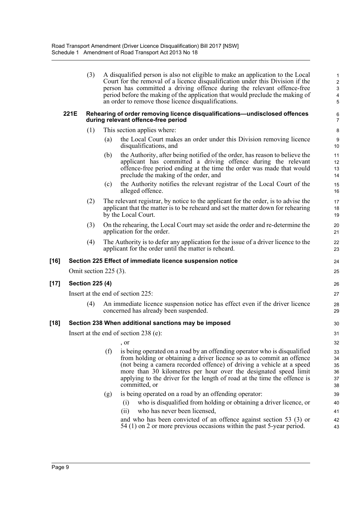|      |                                       | (3)                               |                             | A disqualified person is also not eligible to make an application to the Local<br>Court for the removal of a licence disqualification under this Division if the<br>person has committed a driving offence during the relevant offence-free<br>period before the making of the application that would preclude the making of<br>an order to remove those licence disqualifications.         | $\mathbf{1}$<br>$\overline{\mathbf{c}}$<br>$\ensuremath{\mathsf{3}}$<br>4<br>5 |  |  |  |
|------|---------------------------------------|-----------------------------------|-----------------------------|---------------------------------------------------------------------------------------------------------------------------------------------------------------------------------------------------------------------------------------------------------------------------------------------------------------------------------------------------------------------------------------------|--------------------------------------------------------------------------------|--|--|--|
|      | 221E                                  |                                   |                             | Rehearing of order removing licence disqualifications-undisclosed offences<br>during relevant offence-free period                                                                                                                                                                                                                                                                           | 6<br>7                                                                         |  |  |  |
|      |                                       | (1)                               | This section applies where: |                                                                                                                                                                                                                                                                                                                                                                                             |                                                                                |  |  |  |
|      |                                       |                                   | (a)                         | the Local Court makes an order under this Division removing licence<br>disqualifications, and                                                                                                                                                                                                                                                                                               | 9<br>10                                                                        |  |  |  |
|      |                                       |                                   | (b)                         | the Authority, after being notified of the order, has reason to believe the<br>applicant has committed a driving offence during the relevant<br>offence-free period ending at the time the order was made that would<br>preclude the making of the order, and                                                                                                                               | 11<br>12<br>13<br>14                                                           |  |  |  |
|      |                                       |                                   | (c)                         | the Authority notifies the relevant registrar of the Local Court of the<br>alleged offence.                                                                                                                                                                                                                                                                                                 | 15<br>16                                                                       |  |  |  |
|      |                                       | (2)                               |                             | The relevant registrar, by notice to the applicant for the order, is to advise the<br>applicant that the matter is to be reheard and set the matter down for rehearing<br>by the Local Court.                                                                                                                                                                                               | 17<br>18<br>19                                                                 |  |  |  |
|      |                                       | (3)                               |                             | On the rehearing, the Local Court may set aside the order and re-determine the<br>application for the order.                                                                                                                                                                                                                                                                                | 20<br>21                                                                       |  |  |  |
|      |                                       | (4)                               |                             | The Authority is to defer any application for the issue of a driver licence to the<br>applicant for the order until the matter is reheard.                                                                                                                                                                                                                                                  | 22<br>23                                                                       |  |  |  |
| [16] |                                       |                                   |                             | Section 225 Effect of immediate licence suspension notice                                                                                                                                                                                                                                                                                                                                   | 24                                                                             |  |  |  |
|      |                                       | Omit section $225(3)$ .           |                             |                                                                                                                                                                                                                                                                                                                                                                                             | 25                                                                             |  |  |  |
| [17] |                                       | <b>Section 225 (4)</b>            |                             |                                                                                                                                                                                                                                                                                                                                                                                             | 26                                                                             |  |  |  |
|      |                                       | Insert at the end of section 225: |                             |                                                                                                                                                                                                                                                                                                                                                                                             |                                                                                |  |  |  |
|      |                                       | (4)                               |                             | An immediate licence suspension notice has effect even if the driver licence<br>concerned has already been suspended.                                                                                                                                                                                                                                                                       | 28<br>29                                                                       |  |  |  |
| [18] |                                       |                                   |                             | Section 238 When additional sanctions may be imposed                                                                                                                                                                                                                                                                                                                                        | 30                                                                             |  |  |  |
|      | Insert at the end of section 238 (e): |                                   |                             |                                                                                                                                                                                                                                                                                                                                                                                             |                                                                                |  |  |  |
|      |                                       |                                   |                             | , or                                                                                                                                                                                                                                                                                                                                                                                        | 32                                                                             |  |  |  |
|      |                                       |                                   | (f)                         | is being operated on a road by an offending operator who is disqualified<br>from holding or obtaining a driver licence so as to commit an offence<br>(not being a camera recorded offence) of driving a vehicle at a speed<br>more than 30 kilometres per hour over the designated speed limit<br>applying to the driver for the length of road at the time the offence is<br>committed, or | 33<br>34<br>35<br>36<br>37<br>38                                               |  |  |  |
|      |                                       |                                   | (g)                         | is being operated on a road by an offending operator:                                                                                                                                                                                                                                                                                                                                       | 39                                                                             |  |  |  |
|      |                                       |                                   |                             | who is disqualified from holding or obtaining a driver licence, or<br>(i)                                                                                                                                                                                                                                                                                                                   | 40                                                                             |  |  |  |
|      |                                       |                                   |                             | who has never been licensed,<br>(i)                                                                                                                                                                                                                                                                                                                                                         | 41                                                                             |  |  |  |
|      |                                       |                                   |                             | and who has been convicted of an offence against section 53 (3) or<br>54 (1) on 2 or more previous occasions within the past 5-year period.                                                                                                                                                                                                                                                 | 42<br>43                                                                       |  |  |  |

**[17] Section 225 (4)**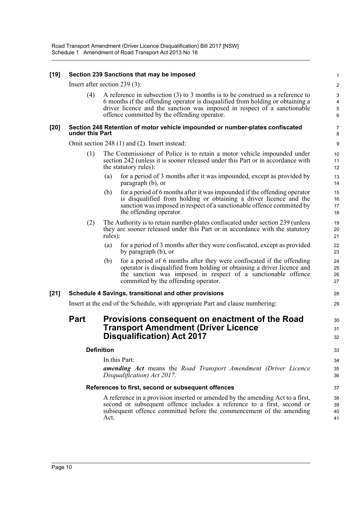### **[19] Section 239 Sanctions that may be imposed**

Insert after section 239 (3):

(4) A reference in subsection (3) to 3 months is to be construed as a reference to 6 months if the offending operator is disqualified from holding or obtaining a driver licence and the sanction was imposed in respect of a sanctionable offence committed by the offending operator.

30 31 32

#### **[20] Section 248 Retention of motor vehicle impounded or number-plates confiscated under this Part**

Omit section 248 (1) and (2). Insert instead:

- (1) The Commissioner of Police is to retain a motor vehicle impounded under section 242 (unless it is sooner released under this Part or in accordance with the statutory rules):
	- (a) for a period of 3 months after it was impounded, except as provided by paragraph (b), or
	- (b) for a period of 6 months after it was impounded if the offending operator is disqualified from holding or obtaining a driver licence and the sanction was imposed in respect of a sanctionable offence committed by the offending operator.
- (2) The Authority is to retain number-plates confiscated under section 239 (unless they are sooner released under this Part or in accordance with the statutory rules):
	- (a) for a period of 3 months after they were confiscated, except as provided by paragraph (b), or
	- (b) for a period of 6 months after they were confiscated if the offending operator is disqualified from holding or obtaining a driver licence and the sanction was imposed in respect of a sanctionable offence committed by the offending operator.

### **[21] Schedule 4 Savings, transitional and other provisions**

Insert at the end of the Schedule, with appropriate Part and clause numbering:

# **Part Provisions consequent on enactment of the Road Transport Amendment (Driver Licence Disqualification) Act 2017**

### **Definition**

In this Part:

*amending Act* means the *Road Transport Amendment (Driver Licence Disqualification) Act 2017*.

### **References to first, second or subsequent offences**

A reference in a provision inserted or amended by the amending Act to a first, second or subsequent offence includes a reference to a first, second or subsequent offence committed before the commencement of the amending Act.